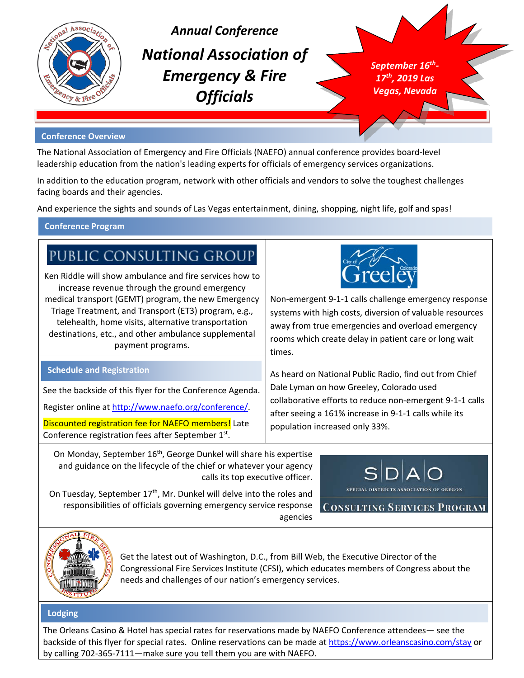

*Annual Conference National Association of Emergency & Fire Officials*

*September 16th-17th, 2019 Las Vegas, Nevada*

#### **Conference Overview**

The National Association of Emergency and Fire Officials (NAEFO) annual conference provides board-level leadership education from the nation's leading experts for officials of emergency services organizations.

In addition to the education program, network with other officials and vendors to solve the toughest challenges facing boards and their agencies.

And experience the sights and sounds of Las Vegas entertainment, dining, shopping, night life, golf and spas!

#### **Conference Program**

# PUBLIC CONSULTING GROUP

Ken Riddle will show ambulance and fire services how to increase revenue through the ground emergency medical transport (GEMT) program, the new Emergency Triage Treatment, and Transport (ET3) program, e.g., telehealth, home visits, alternative transportation destinations, etc., and other ambulance supplemental payment programs.

Non-emergent 9-1-1 calls challenge emergency response systems with high costs, diversion of valuable resources away from true emergencies and overload emergency rooms which create delay in patient care or long wait times.

#### **Schedule and Registration**

See the backside of this flyer for the Conference Agenda.

Register online at [http://www.naefo.org/conference/.](http://www.naefo.org/conference/)

Discounted registration fee for NAEFO members! Late Conference registration fees after September  $1<sup>st</sup>$ .

Dale Lyman on how Greeley, Colorado used collaborative efforts to reduce non-emergent 9-1-1 calls after seeing a 161% increase in 9-1-1 calls while its population increased only 33%.

As heard on National Public Radio, find out from Chief

On Monday, September 16<sup>th</sup>, George Dunkel will share his expertise and guidance on the lifecycle of the chief or whatever your agency calls its top executive officer.

SPECIAL DISTRICTS ASSOCIATION OF OREGON

On Tuesday, September  $17<sup>th</sup>$ , Mr. Dunkel will delve into the roles and responsibilities of officials governing emergency service response agencies

**CONSULTING SERVICES PROGRAM** 



Get the latest out of Washington, D.C., from Bill Web, the Executive Director of the Congressional Fire Services Institute (CFSI), which educates members of Congress about the needs and challenges of our nation's emergency services.

#### **Lodging**

The Orleans Casino & Hotel has special rates for reservations made by NAEFO Conference attendees— see the backside of this flyer for special rates. Online reservations can be made at<https://www.orleanscasino.com/stay> or by calling 702-365-7111—make sure you tell them you are with NAEFO.